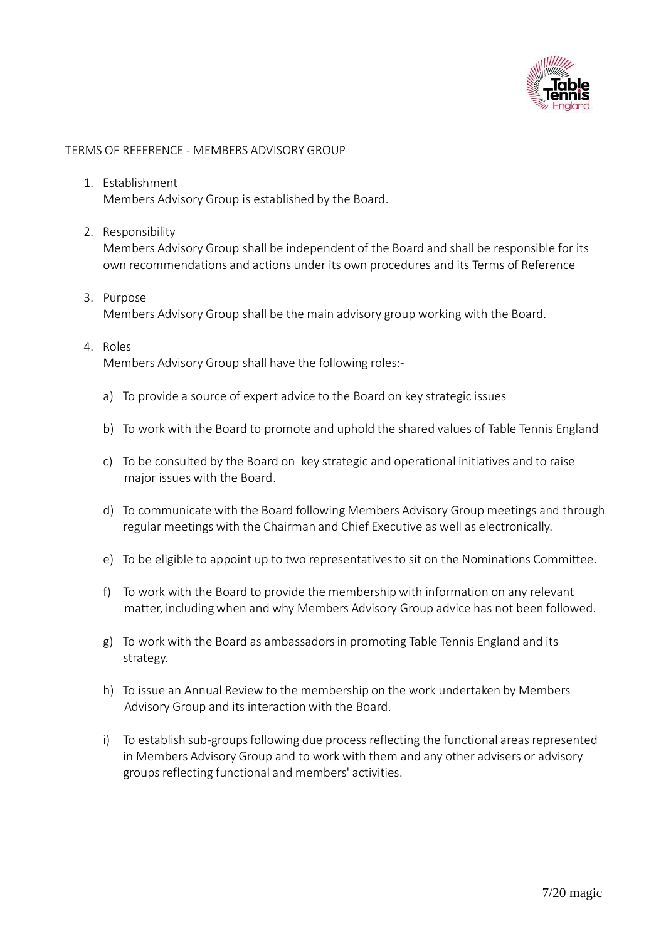

### TERMS OF REFERENCE - MEMBERS ADVISORY GROUP

- 1. Establishment Members Advisory Group is established by the Board.
- 2. Responsibility

Members Advisory Group shall be independent of the Board and shall be responsible for its own recommendations and actions under its own procedures and its Terms of Reference

- 3. Purpose Members Advisory Group shall be the main advisory group working with the Board.
- 4. Roles

Members Advisory Group shall have the following roles:-

- a) To provide a source of expert advice to the Board on key strategic issues
- b) To work with the Board to promote and uphold the shared values of Table Tennis England
- c) To be consulted by the Board on key strategic and operational initiatives and to raise major issues with the Board.
- d) To communicate with the Board following Members Advisory Group meetings and through regular meetings with the Chairman and Chief Executive as well as electronically.
- e) To be eligible to appoint up to two representatives to sit on the Nominations Committee.
- f) To work with the Board to provide the membership with information on any relevant matter, includingwhen and why Members Advisory Group advice has not been followed.
- g) To work with the Board as ambassadorsin promoting Table Tennis England and its strategy.
- h) To issue an Annual Review to the membership on the work undertaken by Members Advisory Group and its interaction with the Board.
- i) To establish sub-groups following due process reflecting the functional areas represented in Members Advisory Group and to work with them and any other advisers or advisory groups reflecting functional and members' activities.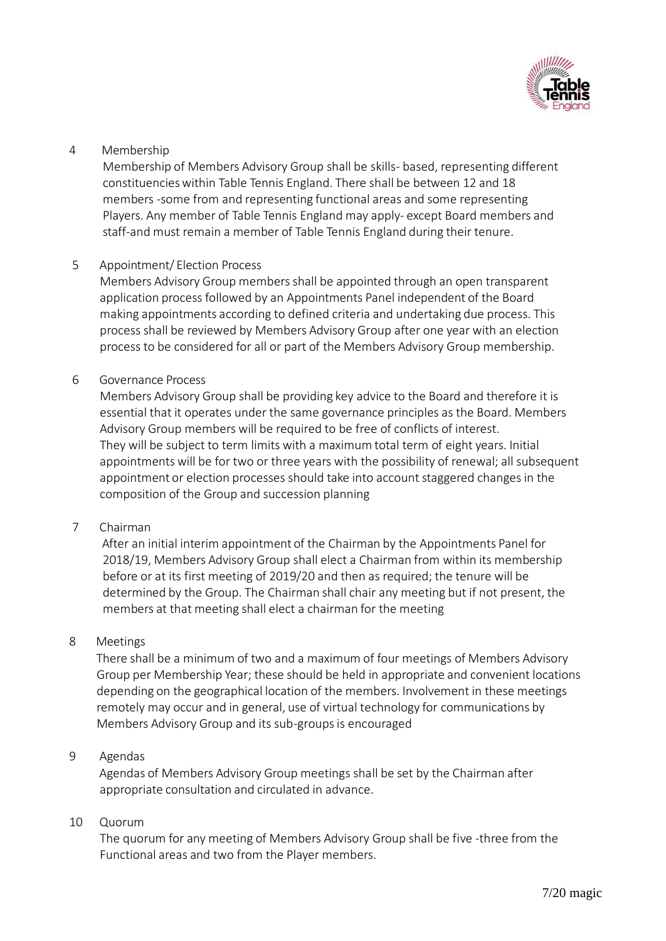

# 4 Membership

Membership of Members Advisory Group shall be skills- based, representing different constituencieswithin Table Tennis England. There shall be between 12 and 18 members -some from and representing functional areas and some representing Players. Any member of Table Tennis England may apply- except Board members and staff-and must remain a member of Table Tennis England during their tenure.

# 5 Appointment/ Election Process

Members Advisory Group membersshall be appointed through an open transparent application process followed by an Appointments Panel independent of the Board making appointments according to defined criteria and undertaking due process. This process shall be reviewed by Members Advisory Group after one year with an election process to be considered for all or part of the Members Advisory Group membership.

6 Governance Process

Members Advisory Group shall be providing key advice to the Board and therefore it is essential that it operates under the same governance principles as the Board. Members Advisory Group members will be required to be free of conflicts of interest. They will be subject to term limits with a maximum total term of eight years. Initial appointmentswill be for two or three years with the possibility of renewal; all subsequent appointment or election processes should take into account staggered changes in the composition of the Group and succession planning

### 7 Chairman

After an initial interim appointment of the Chairman by the Appointments Panel for 2018/19, Members Advisory Group shall elect a Chairman from within its membership before or at its first meeting of 2019/20 and then as required; the tenure will be determined by the Group. The Chairman shall chair any meeting but if not present, the members at that meeting shall elect a chairman for the meeting

### 8 Meetings

There shall be a minimum of two and a maximum of four meetings of Members Advisory Group per Membership Year; these should be held in appropriate and convenient locations depending on the geographical location of the members. Involvement in these meetings remotely may occur and in general, use of virtual technology for communications by Members Advisory Group and its sub-groupsis encouraged

### 9 Agendas

Agendas of Members Advisory Group meetings shall be set by the Chairman after appropriate consultation and circulated in advance.

### 10 Quorum

The quorum for any meeting of Members Advisory Group shall be five -three from the Functional areas and two from the Player members.